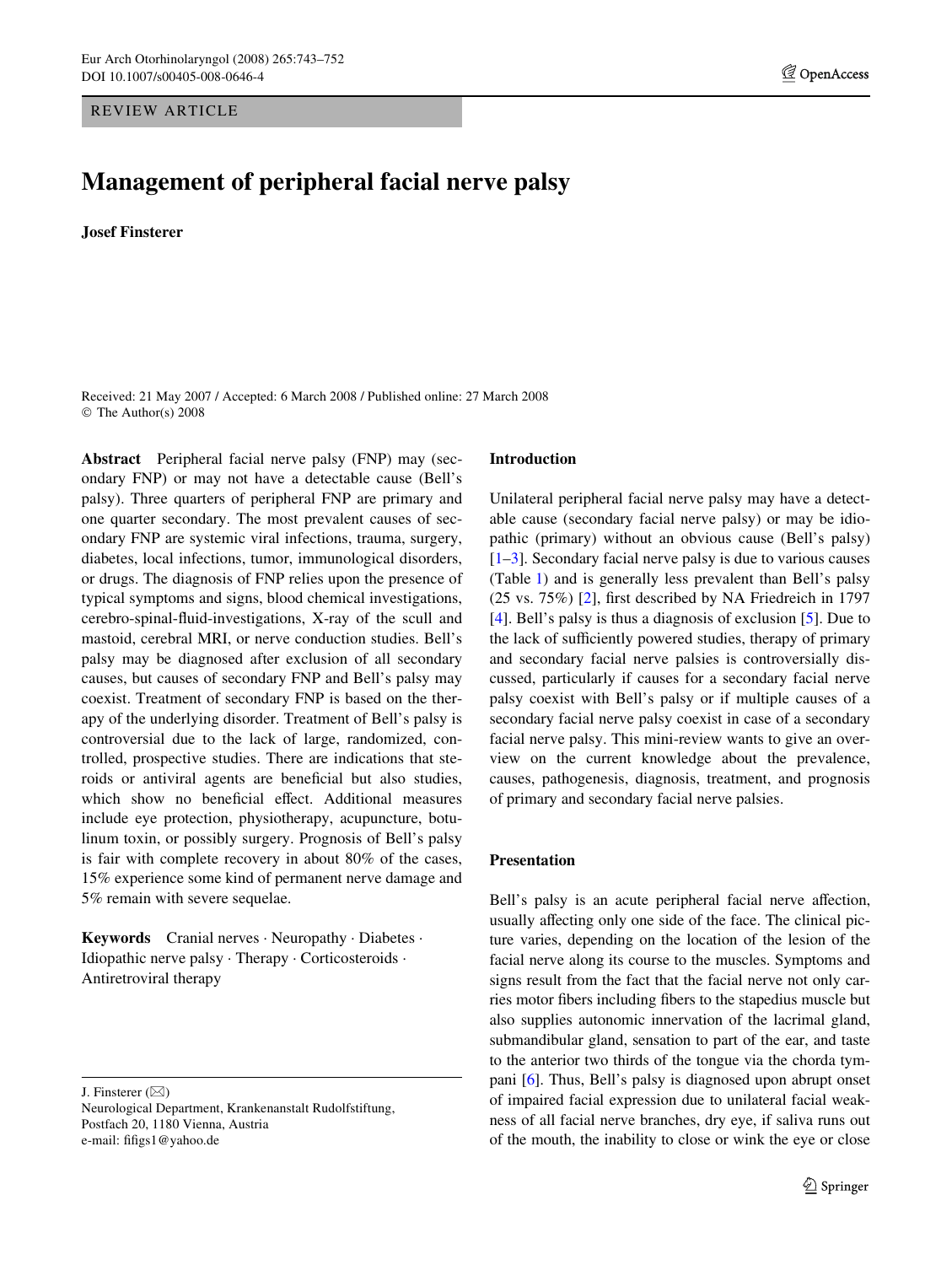REVIEW ARTICLE

# **Management of peripheral facial nerve palsy**

**Josef Finsterer** 

Received: 21 May 2007 / Accepted: 6 March 2008 / Published online: 27 March 2008 © The Author(s) 2008

**Abstract** Peripheral facial nerve palsy (FNP) may (secondary FNP) or may not have a detectable cause (Bell's palsy). Three quarters of peripheral FNP are primary and one quarter secondary. The most prevalent causes of secondary FNP are systemic viral infections, trauma, surgery, diabetes, local infections, tumor, immunological disorders, or drugs. The diagnosis of FNP relies upon the presence of typical symptoms and signs, blood chemical investigations, cerebro-spinal-fluid-investigations, X-ray of the scull and mastoid, cerebral MRI, or nerve conduction studies. Bell's palsy may be diagnosed after exclusion of all secondary causes, but causes of secondary FNP and Bell's palsy may coexist. Treatment of secondary FNP is based on the therapy of the underlying disorder. Treatment of Bell's palsy is controversial due to the lack of large, randomized, controlled, prospective studies. There are indications that steroids or antiviral agents are beneficial but also studies, which show no beneficial effect. Additional measures include eye protection, physiotherapy, acupuncture, botulinum toxin, or possibly surgery. Prognosis of Bell's palsy is fair with complete recovery in about 80% of the cases, 15% experience some kind of permanent nerve damage and 5% remain with severe sequelae.

**Keywords** Cranial nerves · Neuropathy · Diabetes · Idiopathic nerve palsy · Therapy · Corticosteroids · Antiretroviral therapy

J. Finsterer  $(\boxtimes)$ 

Neurological Department, Krankenanstalt Rudolfstiftung, Postfach 20, 1180 Vienna, Austria e-mail: fifigs1@yahoo.de

## **Introduction**

Unilateral peripheral facial nerve palsy may have a detectable cause (secondary facial nerve palsy) or may be idiopathic (primary) without an obvious cause (Bell's palsy)  $[1-3]$  $[1-3]$ . Secondary facial nerve palsy is due to various causes (Table [1\)](#page-1-0) and is generally less prevalent than Bell's palsy  $(25 \text{ vs. } 75\%)$  [[2\]](#page-7-2), first described by NA Friedreich in 1797 [\[4\]](#page-7-3). Bell's palsy is thus a diagnosis of exclusion [[5\]](#page-7-4). Due to the lack of sufficiently powered studies, therapy of primary and secondary facial nerve palsies is controversially discussed, particularly if causes for a secondary facial nerve palsy coexist with Bell's palsy or if multiple causes of a secondary facial nerve palsy coexist in case of a secondary facial nerve palsy. This mini-review wants to give an overview on the current knowledge about the prevalence, causes, pathogenesis, diagnosis, treatment, and prognosis of primary and secondary facial nerve palsies.

# **Presentation**

Bell's palsy is an acute peripheral facial nerve affection, usually affecting only one side of the face. The clinical picture varies, depending on the location of the lesion of the facial nerve along its course to the muscles. Symptoms and signs result from the fact that the facial nerve not only carries motor fibers including fibers to the stapedius muscle but also supplies autonomic innervation of the lacrimal gland, submandibular gland, sensation to part of the ear, and taste to the anterior two thirds of the tongue via the chorda tympani [[6](#page-7-5)]. Thus, Bell's palsy is diagnosed upon abrupt onset of impaired facial expression due to unilateral facial weakness of all facial nerve branches, dry eye, if saliva runs out of the mouth, the inability to close or wink the eye or close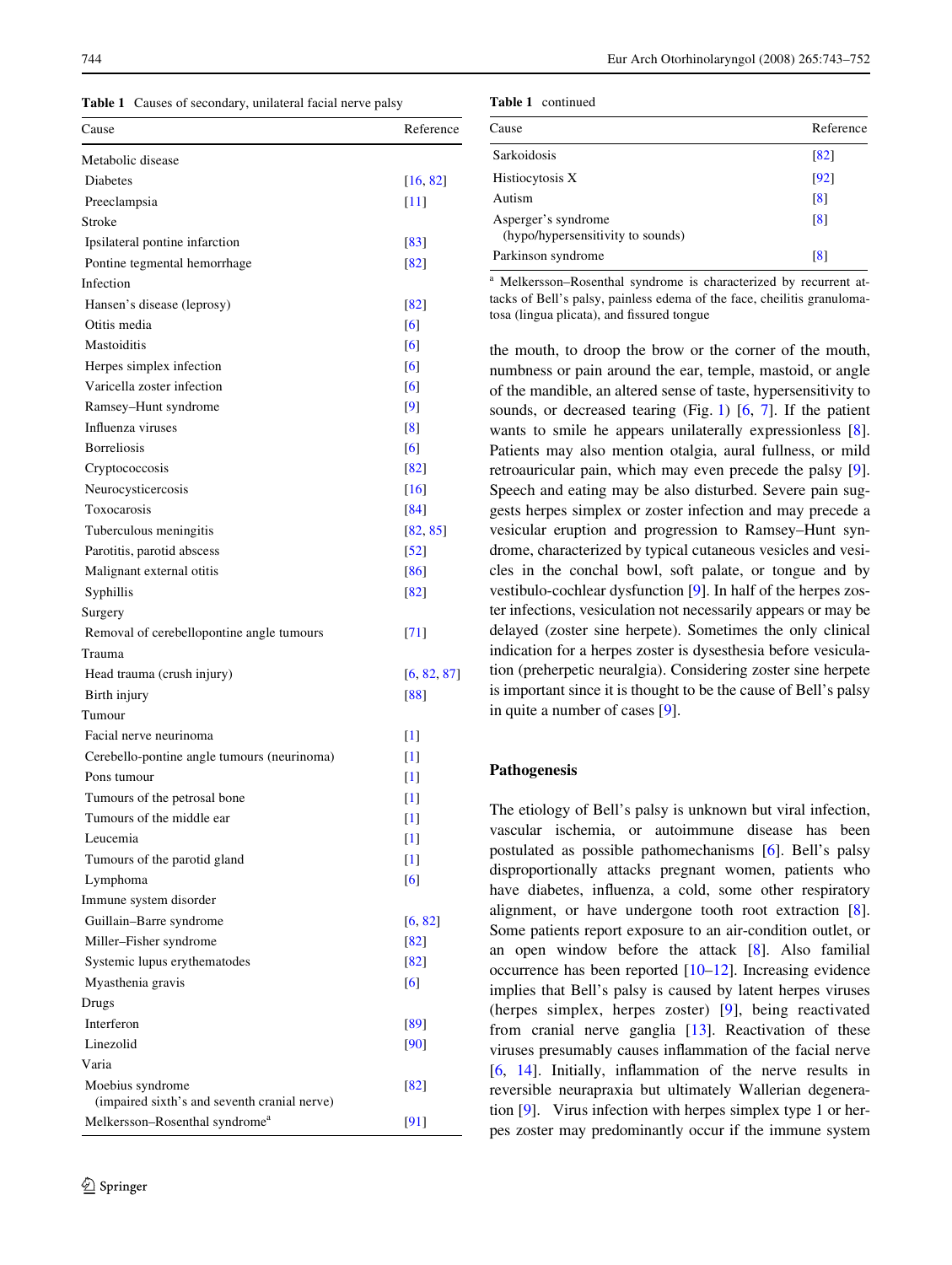<span id="page-1-0"></span>**Table 1** Causes of secondary, unilateral facial nerve palsy

| Metabolic disease<br>Diabetes<br>[16, 82]<br>Preeclampsia<br>$[11]$<br>Stroke<br>Ipsilateral pontine infarction<br>[83]<br>Pontine tegmental hemorrhage<br>[82]<br>Infection<br>Hansen's disease (leprosy)<br>[82]<br>Otitis media<br>[6]<br>Mastoiditis<br>[6]<br>Herpes simplex infection<br>[6]<br>Varicella zoster infection<br>[6]<br>Ramsey-Hunt syndrome<br>[9]<br>Influenza viruses<br>$\lceil 8 \rceil$<br><b>Borreliosis</b><br>[6]<br>Cryptococcosis<br>[82]<br>Neurocysticercosis<br>$[16]$<br>Toxocarosis<br>[84]<br>Tuberculous meningitis<br>[82, 85]<br>Parotitis, parotid abscess<br>$[52]$<br>Malignant external otitis<br>[86]<br>Syphillis<br>[82]<br>Surgery<br>Removal of cerebellopontine angle tumours<br>[71]<br>Trauma<br>Head trauma (crush injury)<br>[6, 82, 87]<br>Birth injury<br>[88]<br>Tumour<br>Facial nerve neurinoma<br>$[1] % \centering \includegraphics[width=0.3\textwidth]{images/TrDiM-Architecture.png} \caption{The figure shows the results of the estimators in the left and right.} \label{TrDiM-Architecture}$<br>Cerebello-pontine angle tumours (neurinoma)<br>$[1] % \centering \includegraphics[width=0.3\textwidth]{images/TrDiM-Architecture.png} \caption{The figure shows the results of the estimators in the left and right.} \label{TrDiM-Architecture}$<br>Pons tumour<br>$[1] % \centering \includegraphics[width=0.3\textwidth]{images/TrDiM-Architecture.png} \caption{The figure shows the results of the estimators in the left and right.} \label{TrDiM-Architecture}$<br>Tumours of the petrosal bone<br>$[1] % \centering \includegraphics[width=0.3\textwidth]{images/TrDiM-Architecture.png} \caption{The figure shows the results of the estimators in the left and right.} \label{TrDiM-Architecture}$<br>Tumours of the middle ear<br>$[1] % \centering \includegraphics[width=0.3\textwidth]{images/TrDiM-Architecture.png} \caption{The figure shows the results of the estimators in the left and right.} \label{TrDiM-Architecture}$<br>$[1] % \includegraphics[width=0.9\columnwidth]{figures/fig_10.pdf} \caption{The figure shows the number of times of the estimators in the left and right.} \label{fig:time} %$<br>Leucemia<br>Tumours of the parotid gland<br>$[1]$<br>[6]<br>Lymphoma<br>Immune system disorder<br>Guillain-Barre syndrome<br>[6, 82]<br>Miller-Fisher syndrome<br>[82]<br>Systemic lupus erythematodes<br>[82]<br>Myasthenia gravis<br>[6]<br>Drugs<br>Interferon<br>[89]<br>Linezolid<br>[90]<br>Varia<br>Moebius syndrome<br>[82]<br>(impaired sixth's and seventh cranial nerve)<br>Melkersson-Rosenthal syndrome <sup>a</sup><br>[91] | Cause | Reference |
|---------------------------------------------------------------------------------------------------------------------------------------------------------------------------------------------------------------------------------------------------------------------------------------------------------------------------------------------------------------------------------------------------------------------------------------------------------------------------------------------------------------------------------------------------------------------------------------------------------------------------------------------------------------------------------------------------------------------------------------------------------------------------------------------------------------------------------------------------------------------------------------------------------------------------------------------------------------------------------------------------------------------------------------------------------------------------------------------------------------------------------------------------------------------------------------------------------------------------------------------------------------------------------------------------------------------------------------------------------------------------------------------------------------------------------------------------------------------------------------------------------------------------------------------------------------------------------------------------------------------------------------------------------------------------------------------------------------------------------------------------------------------------------------------------------------------------------------------------------------------------------------------------------------------------------------------------------------------------------------------------------------------------------------------------------------------------------------------------------------------------------------------------------------------------------------------------------------------------------------------------------------------------------------------------------------------------------------------------------------------------------------------------------------------------------------------------------------------------------------------------------------------------------------------------------------------------------------------------------------------------------------------------|-------|-----------|
|                                                                                                                                                                                                                                                                                                                                                                                                                                                                                                                                                                                                                                                                                                                                                                                                                                                                                                                                                                                                                                                                                                                                                                                                                                                                                                                                                                                                                                                                                                                                                                                                                                                                                                                                                                                                                                                                                                                                                                                                                                                                                                                                                                                                                                                                                                                                                                                                                                                                                                                                                                                                                                                   |       |           |
|                                                                                                                                                                                                                                                                                                                                                                                                                                                                                                                                                                                                                                                                                                                                                                                                                                                                                                                                                                                                                                                                                                                                                                                                                                                                                                                                                                                                                                                                                                                                                                                                                                                                                                                                                                                                                                                                                                                                                                                                                                                                                                                                                                                                                                                                                                                                                                                                                                                                                                                                                                                                                                                   |       |           |
|                                                                                                                                                                                                                                                                                                                                                                                                                                                                                                                                                                                                                                                                                                                                                                                                                                                                                                                                                                                                                                                                                                                                                                                                                                                                                                                                                                                                                                                                                                                                                                                                                                                                                                                                                                                                                                                                                                                                                                                                                                                                                                                                                                                                                                                                                                                                                                                                                                                                                                                                                                                                                                                   |       |           |
|                                                                                                                                                                                                                                                                                                                                                                                                                                                                                                                                                                                                                                                                                                                                                                                                                                                                                                                                                                                                                                                                                                                                                                                                                                                                                                                                                                                                                                                                                                                                                                                                                                                                                                                                                                                                                                                                                                                                                                                                                                                                                                                                                                                                                                                                                                                                                                                                                                                                                                                                                                                                                                                   |       |           |
|                                                                                                                                                                                                                                                                                                                                                                                                                                                                                                                                                                                                                                                                                                                                                                                                                                                                                                                                                                                                                                                                                                                                                                                                                                                                                                                                                                                                                                                                                                                                                                                                                                                                                                                                                                                                                                                                                                                                                                                                                                                                                                                                                                                                                                                                                                                                                                                                                                                                                                                                                                                                                                                   |       |           |
|                                                                                                                                                                                                                                                                                                                                                                                                                                                                                                                                                                                                                                                                                                                                                                                                                                                                                                                                                                                                                                                                                                                                                                                                                                                                                                                                                                                                                                                                                                                                                                                                                                                                                                                                                                                                                                                                                                                                                                                                                                                                                                                                                                                                                                                                                                                                                                                                                                                                                                                                                                                                                                                   |       |           |
|                                                                                                                                                                                                                                                                                                                                                                                                                                                                                                                                                                                                                                                                                                                                                                                                                                                                                                                                                                                                                                                                                                                                                                                                                                                                                                                                                                                                                                                                                                                                                                                                                                                                                                                                                                                                                                                                                                                                                                                                                                                                                                                                                                                                                                                                                                                                                                                                                                                                                                                                                                                                                                                   |       |           |
|                                                                                                                                                                                                                                                                                                                                                                                                                                                                                                                                                                                                                                                                                                                                                                                                                                                                                                                                                                                                                                                                                                                                                                                                                                                                                                                                                                                                                                                                                                                                                                                                                                                                                                                                                                                                                                                                                                                                                                                                                                                                                                                                                                                                                                                                                                                                                                                                                                                                                                                                                                                                                                                   |       |           |
|                                                                                                                                                                                                                                                                                                                                                                                                                                                                                                                                                                                                                                                                                                                                                                                                                                                                                                                                                                                                                                                                                                                                                                                                                                                                                                                                                                                                                                                                                                                                                                                                                                                                                                                                                                                                                                                                                                                                                                                                                                                                                                                                                                                                                                                                                                                                                                                                                                                                                                                                                                                                                                                   |       |           |
|                                                                                                                                                                                                                                                                                                                                                                                                                                                                                                                                                                                                                                                                                                                                                                                                                                                                                                                                                                                                                                                                                                                                                                                                                                                                                                                                                                                                                                                                                                                                                                                                                                                                                                                                                                                                                                                                                                                                                                                                                                                                                                                                                                                                                                                                                                                                                                                                                                                                                                                                                                                                                                                   |       |           |
|                                                                                                                                                                                                                                                                                                                                                                                                                                                                                                                                                                                                                                                                                                                                                                                                                                                                                                                                                                                                                                                                                                                                                                                                                                                                                                                                                                                                                                                                                                                                                                                                                                                                                                                                                                                                                                                                                                                                                                                                                                                                                                                                                                                                                                                                                                                                                                                                                                                                                                                                                                                                                                                   |       |           |
|                                                                                                                                                                                                                                                                                                                                                                                                                                                                                                                                                                                                                                                                                                                                                                                                                                                                                                                                                                                                                                                                                                                                                                                                                                                                                                                                                                                                                                                                                                                                                                                                                                                                                                                                                                                                                                                                                                                                                                                                                                                                                                                                                                                                                                                                                                                                                                                                                                                                                                                                                                                                                                                   |       |           |
|                                                                                                                                                                                                                                                                                                                                                                                                                                                                                                                                                                                                                                                                                                                                                                                                                                                                                                                                                                                                                                                                                                                                                                                                                                                                                                                                                                                                                                                                                                                                                                                                                                                                                                                                                                                                                                                                                                                                                                                                                                                                                                                                                                                                                                                                                                                                                                                                                                                                                                                                                                                                                                                   |       |           |
|                                                                                                                                                                                                                                                                                                                                                                                                                                                                                                                                                                                                                                                                                                                                                                                                                                                                                                                                                                                                                                                                                                                                                                                                                                                                                                                                                                                                                                                                                                                                                                                                                                                                                                                                                                                                                                                                                                                                                                                                                                                                                                                                                                                                                                                                                                                                                                                                                                                                                                                                                                                                                                                   |       |           |
|                                                                                                                                                                                                                                                                                                                                                                                                                                                                                                                                                                                                                                                                                                                                                                                                                                                                                                                                                                                                                                                                                                                                                                                                                                                                                                                                                                                                                                                                                                                                                                                                                                                                                                                                                                                                                                                                                                                                                                                                                                                                                                                                                                                                                                                                                                                                                                                                                                                                                                                                                                                                                                                   |       |           |
|                                                                                                                                                                                                                                                                                                                                                                                                                                                                                                                                                                                                                                                                                                                                                                                                                                                                                                                                                                                                                                                                                                                                                                                                                                                                                                                                                                                                                                                                                                                                                                                                                                                                                                                                                                                                                                                                                                                                                                                                                                                                                                                                                                                                                                                                                                                                                                                                                                                                                                                                                                                                                                                   |       |           |
|                                                                                                                                                                                                                                                                                                                                                                                                                                                                                                                                                                                                                                                                                                                                                                                                                                                                                                                                                                                                                                                                                                                                                                                                                                                                                                                                                                                                                                                                                                                                                                                                                                                                                                                                                                                                                                                                                                                                                                                                                                                                                                                                                                                                                                                                                                                                                                                                                                                                                                                                                                                                                                                   |       |           |
|                                                                                                                                                                                                                                                                                                                                                                                                                                                                                                                                                                                                                                                                                                                                                                                                                                                                                                                                                                                                                                                                                                                                                                                                                                                                                                                                                                                                                                                                                                                                                                                                                                                                                                                                                                                                                                                                                                                                                                                                                                                                                                                                                                                                                                                                                                                                                                                                                                                                                                                                                                                                                                                   |       |           |
|                                                                                                                                                                                                                                                                                                                                                                                                                                                                                                                                                                                                                                                                                                                                                                                                                                                                                                                                                                                                                                                                                                                                                                                                                                                                                                                                                                                                                                                                                                                                                                                                                                                                                                                                                                                                                                                                                                                                                                                                                                                                                                                                                                                                                                                                                                                                                                                                                                                                                                                                                                                                                                                   |       |           |
|                                                                                                                                                                                                                                                                                                                                                                                                                                                                                                                                                                                                                                                                                                                                                                                                                                                                                                                                                                                                                                                                                                                                                                                                                                                                                                                                                                                                                                                                                                                                                                                                                                                                                                                                                                                                                                                                                                                                                                                                                                                                                                                                                                                                                                                                                                                                                                                                                                                                                                                                                                                                                                                   |       |           |
|                                                                                                                                                                                                                                                                                                                                                                                                                                                                                                                                                                                                                                                                                                                                                                                                                                                                                                                                                                                                                                                                                                                                                                                                                                                                                                                                                                                                                                                                                                                                                                                                                                                                                                                                                                                                                                                                                                                                                                                                                                                                                                                                                                                                                                                                                                                                                                                                                                                                                                                                                                                                                                                   |       |           |
|                                                                                                                                                                                                                                                                                                                                                                                                                                                                                                                                                                                                                                                                                                                                                                                                                                                                                                                                                                                                                                                                                                                                                                                                                                                                                                                                                                                                                                                                                                                                                                                                                                                                                                                                                                                                                                                                                                                                                                                                                                                                                                                                                                                                                                                                                                                                                                                                                                                                                                                                                                                                                                                   |       |           |
|                                                                                                                                                                                                                                                                                                                                                                                                                                                                                                                                                                                                                                                                                                                                                                                                                                                                                                                                                                                                                                                                                                                                                                                                                                                                                                                                                                                                                                                                                                                                                                                                                                                                                                                                                                                                                                                                                                                                                                                                                                                                                                                                                                                                                                                                                                                                                                                                                                                                                                                                                                                                                                                   |       |           |
|                                                                                                                                                                                                                                                                                                                                                                                                                                                                                                                                                                                                                                                                                                                                                                                                                                                                                                                                                                                                                                                                                                                                                                                                                                                                                                                                                                                                                                                                                                                                                                                                                                                                                                                                                                                                                                                                                                                                                                                                                                                                                                                                                                                                                                                                                                                                                                                                                                                                                                                                                                                                                                                   |       |           |
|                                                                                                                                                                                                                                                                                                                                                                                                                                                                                                                                                                                                                                                                                                                                                                                                                                                                                                                                                                                                                                                                                                                                                                                                                                                                                                                                                                                                                                                                                                                                                                                                                                                                                                                                                                                                                                                                                                                                                                                                                                                                                                                                                                                                                                                                                                                                                                                                                                                                                                                                                                                                                                                   |       |           |
|                                                                                                                                                                                                                                                                                                                                                                                                                                                                                                                                                                                                                                                                                                                                                                                                                                                                                                                                                                                                                                                                                                                                                                                                                                                                                                                                                                                                                                                                                                                                                                                                                                                                                                                                                                                                                                                                                                                                                                                                                                                                                                                                                                                                                                                                                                                                                                                                                                                                                                                                                                                                                                                   |       |           |
|                                                                                                                                                                                                                                                                                                                                                                                                                                                                                                                                                                                                                                                                                                                                                                                                                                                                                                                                                                                                                                                                                                                                                                                                                                                                                                                                                                                                                                                                                                                                                                                                                                                                                                                                                                                                                                                                                                                                                                                                                                                                                                                                                                                                                                                                                                                                                                                                                                                                                                                                                                                                                                                   |       |           |
|                                                                                                                                                                                                                                                                                                                                                                                                                                                                                                                                                                                                                                                                                                                                                                                                                                                                                                                                                                                                                                                                                                                                                                                                                                                                                                                                                                                                                                                                                                                                                                                                                                                                                                                                                                                                                                                                                                                                                                                                                                                                                                                                                                                                                                                                                                                                                                                                                                                                                                                                                                                                                                                   |       |           |
|                                                                                                                                                                                                                                                                                                                                                                                                                                                                                                                                                                                                                                                                                                                                                                                                                                                                                                                                                                                                                                                                                                                                                                                                                                                                                                                                                                                                                                                                                                                                                                                                                                                                                                                                                                                                                                                                                                                                                                                                                                                                                                                                                                                                                                                                                                                                                                                                                                                                                                                                                                                                                                                   |       |           |
|                                                                                                                                                                                                                                                                                                                                                                                                                                                                                                                                                                                                                                                                                                                                                                                                                                                                                                                                                                                                                                                                                                                                                                                                                                                                                                                                                                                                                                                                                                                                                                                                                                                                                                                                                                                                                                                                                                                                                                                                                                                                                                                                                                                                                                                                                                                                                                                                                                                                                                                                                                                                                                                   |       |           |
|                                                                                                                                                                                                                                                                                                                                                                                                                                                                                                                                                                                                                                                                                                                                                                                                                                                                                                                                                                                                                                                                                                                                                                                                                                                                                                                                                                                                                                                                                                                                                                                                                                                                                                                                                                                                                                                                                                                                                                                                                                                                                                                                                                                                                                                                                                                                                                                                                                                                                                                                                                                                                                                   |       |           |
|                                                                                                                                                                                                                                                                                                                                                                                                                                                                                                                                                                                                                                                                                                                                                                                                                                                                                                                                                                                                                                                                                                                                                                                                                                                                                                                                                                                                                                                                                                                                                                                                                                                                                                                                                                                                                                                                                                                                                                                                                                                                                                                                                                                                                                                                                                                                                                                                                                                                                                                                                                                                                                                   |       |           |
|                                                                                                                                                                                                                                                                                                                                                                                                                                                                                                                                                                                                                                                                                                                                                                                                                                                                                                                                                                                                                                                                                                                                                                                                                                                                                                                                                                                                                                                                                                                                                                                                                                                                                                                                                                                                                                                                                                                                                                                                                                                                                                                                                                                                                                                                                                                                                                                                                                                                                                                                                                                                                                                   |       |           |
|                                                                                                                                                                                                                                                                                                                                                                                                                                                                                                                                                                                                                                                                                                                                                                                                                                                                                                                                                                                                                                                                                                                                                                                                                                                                                                                                                                                                                                                                                                                                                                                                                                                                                                                                                                                                                                                                                                                                                                                                                                                                                                                                                                                                                                                                                                                                                                                                                                                                                                                                                                                                                                                   |       |           |
|                                                                                                                                                                                                                                                                                                                                                                                                                                                                                                                                                                                                                                                                                                                                                                                                                                                                                                                                                                                                                                                                                                                                                                                                                                                                                                                                                                                                                                                                                                                                                                                                                                                                                                                                                                                                                                                                                                                                                                                                                                                                                                                                                                                                                                                                                                                                                                                                                                                                                                                                                                                                                                                   |       |           |
|                                                                                                                                                                                                                                                                                                                                                                                                                                                                                                                                                                                                                                                                                                                                                                                                                                                                                                                                                                                                                                                                                                                                                                                                                                                                                                                                                                                                                                                                                                                                                                                                                                                                                                                                                                                                                                                                                                                                                                                                                                                                                                                                                                                                                                                                                                                                                                                                                                                                                                                                                                                                                                                   |       |           |
|                                                                                                                                                                                                                                                                                                                                                                                                                                                                                                                                                                                                                                                                                                                                                                                                                                                                                                                                                                                                                                                                                                                                                                                                                                                                                                                                                                                                                                                                                                                                                                                                                                                                                                                                                                                                                                                                                                                                                                                                                                                                                                                                                                                                                                                                                                                                                                                                                                                                                                                                                                                                                                                   |       |           |
|                                                                                                                                                                                                                                                                                                                                                                                                                                                                                                                                                                                                                                                                                                                                                                                                                                                                                                                                                                                                                                                                                                                                                                                                                                                                                                                                                                                                                                                                                                                                                                                                                                                                                                                                                                                                                                                                                                                                                                                                                                                                                                                                                                                                                                                                                                                                                                                                                                                                                                                                                                                                                                                   |       |           |
|                                                                                                                                                                                                                                                                                                                                                                                                                                                                                                                                                                                                                                                                                                                                                                                                                                                                                                                                                                                                                                                                                                                                                                                                                                                                                                                                                                                                                                                                                                                                                                                                                                                                                                                                                                                                                                                                                                                                                                                                                                                                                                                                                                                                                                                                                                                                                                                                                                                                                                                                                                                                                                                   |       |           |
|                                                                                                                                                                                                                                                                                                                                                                                                                                                                                                                                                                                                                                                                                                                                                                                                                                                                                                                                                                                                                                                                                                                                                                                                                                                                                                                                                                                                                                                                                                                                                                                                                                                                                                                                                                                                                                                                                                                                                                                                                                                                                                                                                                                                                                                                                                                                                                                                                                                                                                                                                                                                                                                   |       |           |
|                                                                                                                                                                                                                                                                                                                                                                                                                                                                                                                                                                                                                                                                                                                                                                                                                                                                                                                                                                                                                                                                                                                                                                                                                                                                                                                                                                                                                                                                                                                                                                                                                                                                                                                                                                                                                                                                                                                                                                                                                                                                                                                                                                                                                                                                                                                                                                                                                                                                                                                                                                                                                                                   |       |           |
|                                                                                                                                                                                                                                                                                                                                                                                                                                                                                                                                                                                                                                                                                                                                                                                                                                                                                                                                                                                                                                                                                                                                                                                                                                                                                                                                                                                                                                                                                                                                                                                                                                                                                                                                                                                                                                                                                                                                                                                                                                                                                                                                                                                                                                                                                                                                                                                                                                                                                                                                                                                                                                                   |       |           |
|                                                                                                                                                                                                                                                                                                                                                                                                                                                                                                                                                                                                                                                                                                                                                                                                                                                                                                                                                                                                                                                                                                                                                                                                                                                                                                                                                                                                                                                                                                                                                                                                                                                                                                                                                                                                                                                                                                                                                                                                                                                                                                                                                                                                                                                                                                                                                                                                                                                                                                                                                                                                                                                   |       |           |
|                                                                                                                                                                                                                                                                                                                                                                                                                                                                                                                                                                                                                                                                                                                                                                                                                                                                                                                                                                                                                                                                                                                                                                                                                                                                                                                                                                                                                                                                                                                                                                                                                                                                                                                                                                                                                                                                                                                                                                                                                                                                                                                                                                                                                                                                                                                                                                                                                                                                                                                                                                                                                                                   |       |           |
|                                                                                                                                                                                                                                                                                                                                                                                                                                                                                                                                                                                                                                                                                                                                                                                                                                                                                                                                                                                                                                                                                                                                                                                                                                                                                                                                                                                                                                                                                                                                                                                                                                                                                                                                                                                                                                                                                                                                                                                                                                                                                                                                                                                                                                                                                                                                                                                                                                                                                                                                                                                                                                                   |       |           |
|                                                                                                                                                                                                                                                                                                                                                                                                                                                                                                                                                                                                                                                                                                                                                                                                                                                                                                                                                                                                                                                                                                                                                                                                                                                                                                                                                                                                                                                                                                                                                                                                                                                                                                                                                                                                                                                                                                                                                                                                                                                                                                                                                                                                                                                                                                                                                                                                                                                                                                                                                                                                                                                   |       |           |
|                                                                                                                                                                                                                                                                                                                                                                                                                                                                                                                                                                                                                                                                                                                                                                                                                                                                                                                                                                                                                                                                                                                                                                                                                                                                                                                                                                                                                                                                                                                                                                                                                                                                                                                                                                                                                                                                                                                                                                                                                                                                                                                                                                                                                                                                                                                                                                                                                                                                                                                                                                                                                                                   |       |           |

| Table 1 | continued |
|---------|-----------|
|---------|-----------|

| Cause                                                    | Reference |
|----------------------------------------------------------|-----------|
| <b>Sarkoidosis</b>                                       | [82]      |
| Histiocytosis X                                          | [92]      |
| Autism                                                   | [8]       |
| Asperger's syndrome<br>(hypo/hypersensitivity to sounds) | [8]       |
| Parkinson syndrome                                       | [8]       |

<sup>a</sup> Melkersson–Rosenthal syndrome is characterized by recurrent attacks of Bell's palsy, painless edema of the face, cheilitis granulomatosa (lingua plicata), and fissured tongue

the mouth, to droop the brow or the corner of the mouth, numbness or pain around the ear, temple, mastoid, or angle of the mandible, an altered sense of taste, hypersensitivity to sounds, or decreased tearing (Fig. [1](#page-2-0)) [\[6](#page-7-5), [7\]](#page-7-10). If the patient wants to smile he appears unilaterally expressionless [[8\]](#page-7-9). Patients may also mention otalgia, aural fullness, or mild retroauricular pain, which may even precede the palsy [[9\]](#page-7-8). Speech and eating may be also disturbed. Severe pain suggests herpes simplex or zoster infection and may precede a vesicular eruption and progression to Ramsey–Hunt syndrome, characterized by typical cutaneous vesicles and vesicles in the conchal bowl, soft palate, or tongue and by vestibulo-cochlear dysfunction [\[9](#page-7-8)]. In half of the herpes zoster infections, vesiculation not necessarily appears or may be delayed (zoster sine herpete). Sometimes the only clinical indication for a herpes zoster is dysesthesia before vesiculation (preherpetic neuralgia). Considering zoster sine herpete is important since it is thought to be the cause of Bell's palsy in quite a number of cases [\[9](#page-7-8)].

# **Pathogenesis**

The etiology of Bell's palsy is unknown but viral infection, vascular ischemia, or autoimmune disease has been postulated as possible pathomechanisms [[6\]](#page-7-5). Bell's palsy disproportionally attacks pregnant women, patients who have diabetes, influenza, a cold, some other respiratory alignment, or have undergone tooth root extraction [[8\]](#page-7-9). Some patients report exposure to an air-condition outlet, or an open window before the attack [[8\]](#page-7-9). Also familial occurrence has been reported [[10–](#page-7-11)[12\]](#page-7-12). Increasing evidence implies that Bell's palsy is caused by latent herpes viruses (herpes simplex, herpes zoster) [\[9\]](#page-7-8), being reactivated from cranial nerve ganglia [[13\]](#page-7-13). Reactivation of these viruses presumably causes inflammation of the facial nerve  $[6, 14]$  $[6, 14]$  $[6, 14]$  $[6, 14]$ . Initially, inflammation of the nerve results in reversible neurapraxia but ultimately Wallerian degeneration [\[9](#page-7-8)]. Virus infection with herpes simplex type 1 or herpes zoster may predominantly occur if the immune system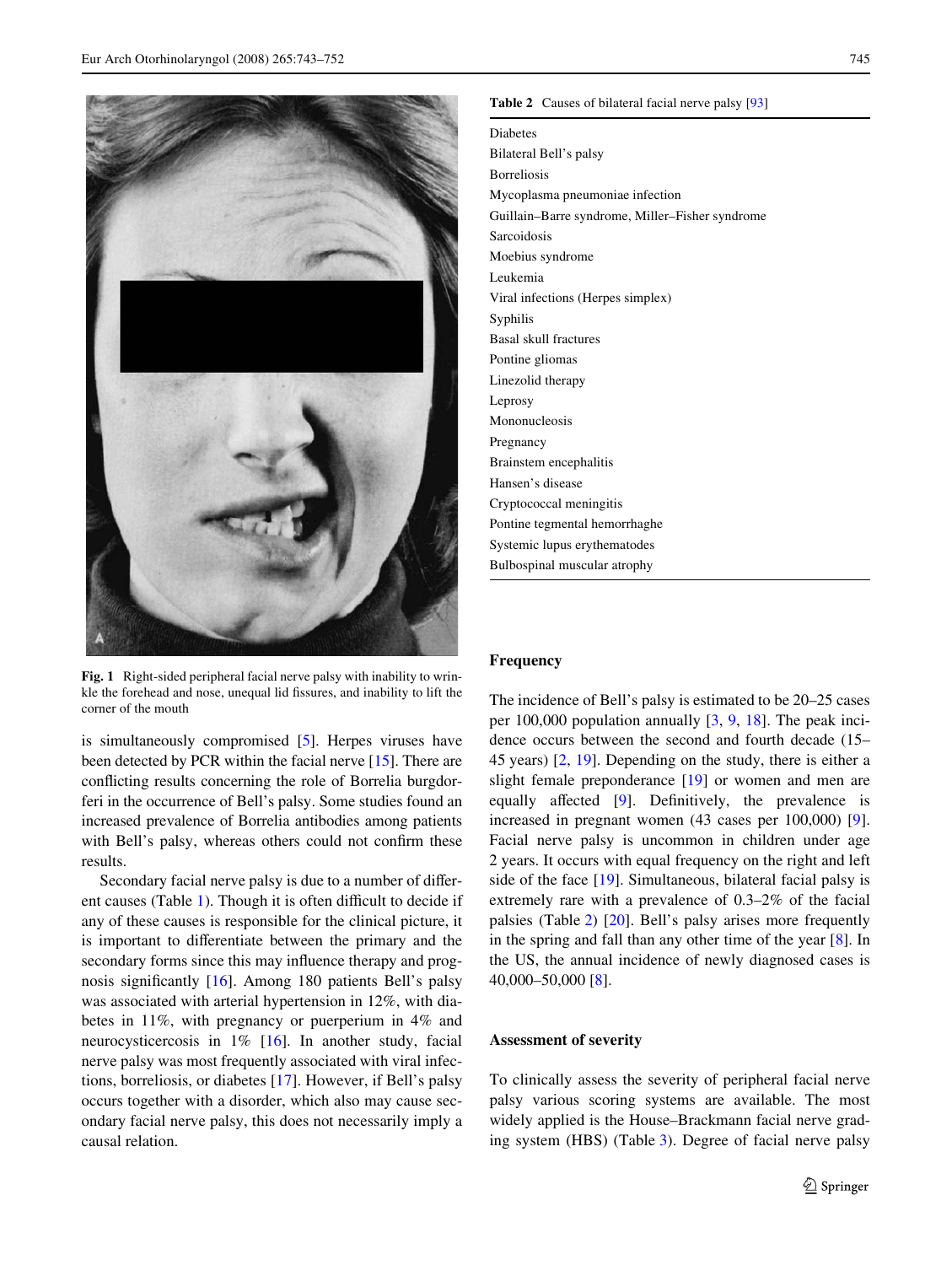

**Fig. 1** Right-sided peripheral facial nerve palsy with inability to wrinkle the forehead and nose, unequal lid fissures, and inability to lift the corner of the mouth

<span id="page-2-0"></span>is simultaneously compromised [\[5](#page-7-4)]. Herpes viruses have been detected by PCR within the facial nerve [[15\]](#page-7-15). There are conflicting results concerning the role of Borrelia burgdorferi in the occurrence of Bell's palsy. Some studies found an increased prevalence of Borrelia antibodies among patients with Bell's palsy, whereas others could not confirm these results.

Secondary facial nerve palsy is due to a number of differ-ent causes (Table [1](#page-1-0)). Though it is often difficult to decide if any of these causes is responsible for the clinical picture, it is important to differentiate between the primary and the secondary forms since this may influence therapy and prognosis significantly  $[16]$  $[16]$ . Among 180 patients Bell's palsy was associated with arterial hypertension in 12%, with diabetes in 11%, with pregnancy or puerperium in 4% and neurocysticercosis in 1% [\[16](#page-7-6)]. In another study, facial nerve palsy was most frequently associated with viral infections, borreliosis, or diabetes [[17\]](#page-7-16). However, if Bell's palsy occurs together with a disorder, which also may cause secondary facial nerve palsy, this does not necessarily imply a causal relation.

#### <span id="page-2-1"></span>**Table 2** Causes of bilateral facial nerve palsy [\[93\]](#page-9-12)

Diabetes Bilateral Bell's palsy Borreliosis Mycoplasma pneumoniae infection Guillain–Barre syndrome, Miller–Fisher syndrome Sarcoidosis Moebius syndrome Leukemia Viral infections (Herpes simplex) Syphilis Basal skull fractures Pontine gliomas Linezolid therapy Leprosy Mononucleosis Pregnancy Brainstem encephalitis Hansen's disease Cryptococcal meningitis Pontine tegmental hemorrhaghe Systemic lupus erythematodes Bulbospinal muscular atrophy

#### **Frequency**

The incidence of Bell's palsy is estimated to be 20–25 cases per 100,000 population annually [[3,](#page-7-1) [9](#page-7-8), [18](#page-7-17)]. The peak incidence occurs between the second and fourth decade (15– 45 years) [\[2](#page-7-2), [19\]](#page-7-18). Depending on the study, there is either a slight female preponderance [[19\]](#page-7-18) or women and men are equally affected  $[9]$  $[9]$ . Definitively, the prevalence is increased in pregnant women (43 cases per 100,000) [\[9](#page-7-8)]. Facial nerve palsy is uncommon in children under age 2 years. It occurs with equal frequency on the right and left side of the face [\[19](#page-7-18)]. Simultaneous, bilateral facial palsy is extremely rare with a prevalence of 0.3–2% of the facial palsies (Table [2\)](#page-2-1) [[20\]](#page-7-19). Bell's palsy arises more frequently in the spring and fall than any other time of the year  $[8]$  $[8]$ . In the US, the annual incidence of newly diagnosed cases is 40,000–50,000 [[8\]](#page-7-9).

#### **Assessment of severity**

To clinically assess the severity of peripheral facial nerve palsy various scoring systems are available. The most widely applied is the House–Brackmann facial nerve grading system (HBS) (Table [3](#page-3-0)). Degree of facial nerve palsy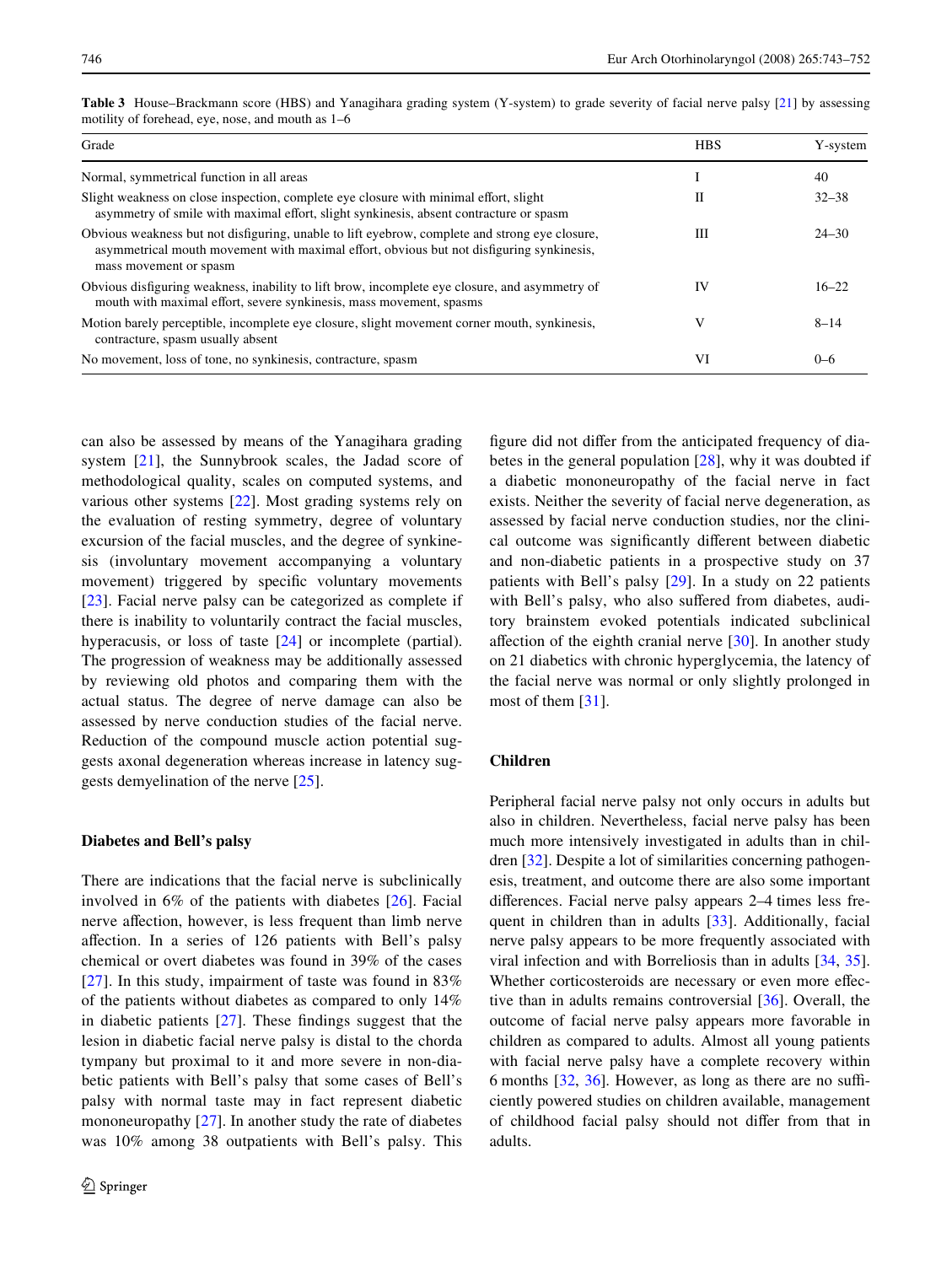| Grade                                                                                                                                                                                                                | <b>HBS</b> | Y-system  |
|----------------------------------------------------------------------------------------------------------------------------------------------------------------------------------------------------------------------|------------|-----------|
| Normal, symmetrical function in all areas                                                                                                                                                                            |            | 40        |
| Slight weakness on close inspection, complete eye closure with minimal effort, slight<br>asymmetry of smile with maximal effort, slight synkinesis, absent contracture or spasm                                      | Н          | $32 - 38$ |
| Obvious weakness but not disfiguring, unable to lift eyebrow, complete and strong eye closure,<br>asymmetrical mouth movement with maximal effort, obvious but not disfiguring synkinesis,<br>mass movement or spasm | Ш          | $24 - 30$ |
| Obvious disfiguring weakness, inability to lift brow, incomplete eye closure, and asymmetry of<br>mouth with maximal effort, severe synkinesis, mass movement, spasms                                                | IV         | $16 - 22$ |
| Motion barely perceptible, incomplete eye closure, slight movement corner mouth, synkinesis,<br>contracture, spasm usually absent                                                                                    | V          | $8 - 14$  |
| No movement, loss of tone, no synkinesis, contracture, spasm                                                                                                                                                         | VI         | $0 - 6$   |

<span id="page-3-0"></span>**Table 3** House–Brackmann score (HBS) and Yanagihara grading system (Y-system) to grade severity of facial nerve palsy [\[21\]](#page-7-20) by assessing motility of forehead, eye, nose, and mouth as 1–6

can also be assessed by means of the Yanagihara grading system [[21](#page-7-20)], the Sunnybrook scales, the Jadad score of methodological quality, scales on computed systems, and various other systems [[22\]](#page-7-21). Most grading systems rely on the evaluation of resting symmetry, degree of voluntary excursion of the facial muscles, and the degree of synkinesis (involuntary movement accompanying a voluntary movement) triggered by specific voluntary movements [\[23](#page-7-22)]. Facial nerve palsy can be categorized as complete if there is inability to voluntarily contract the facial muscles, hyperacusis, or loss of taste [[24\]](#page-7-23) or incomplete (partial). The progression of weakness may be additionally assessed by reviewing old photos and comparing them with the actual status. The degree of nerve damage can also be assessed by nerve conduction studies of the facial nerve. Reduction of the compound muscle action potential suggests axonal degeneration whereas increase in latency suggests demyelination of the nerve [[25\]](#page-7-24).

#### **Diabetes and Bell's palsy**

There are indications that the facial nerve is subclinically involved in 6% of the patients with diabetes [[26\]](#page-7-25). Facial nerve affection, however, is less frequent than limb nerve affection. In a series of 126 patients with Bell's palsy chemical or overt diabetes was found in 39% of the cases [\[27\]](#page-8-1). In this study, impairment of taste was found in 83% of the patients without diabetes as compared to only 14% in diabetic patients  $[27]$  $[27]$  $[27]$ . These findings suggest that the lesion in diabetic facial nerve palsy is distal to the chorda tympany but proximal to it and more severe in non-diabetic patients with Bell's palsy that some cases of Bell's palsy with normal taste may in fact represent diabetic mononeuropathy [[27\]](#page-8-1). In another study the rate of diabetes was 10% among 38 outpatients with Bell's palsy. This figure did not differ from the anticipated frequency of diabetes in the general population [\[28](#page-8-2)], why it was doubted if a diabetic mononeuropathy of the facial nerve in fact exists. Neither the severity of facial nerve degeneration, as assessed by facial nerve conduction studies, nor the clinical outcome was significantly different between diabetic and non-diabetic patients in a prospective study on 37 patients with Bell's palsy [\[29](#page-8-3)]. In a study on 22 patients with Bell's palsy, who also suffered from diabetes, auditory brainstem evoked potentials indicated subclinical affection of the eighth cranial nerve  $[30]$  $[30]$ . In another study on 21 diabetics with chronic hyperglycemia, the latency of the facial nerve was normal or only slightly prolonged in most of them [\[31](#page-8-5)].

## **Children**

Peripheral facial nerve palsy not only occurs in adults but also in children. Nevertheless, facial nerve palsy has been much more intensively investigated in adults than in children [[32\]](#page-8-6). Despite a lot of similarities concerning pathogenesis, treatment, and outcome there are also some important differences. Facial nerve palsy appears  $2-4$  times less frequent in children than in adults [\[33](#page-8-7)]. Additionally, facial nerve palsy appears to be more frequently associated with viral infection and with Borreliosis than in adults [[34,](#page-8-8) [35](#page-8-9)]. Whether corticosteroids are necessary or even more effective than in adults remains controversial [\[36](#page-8-10)]. Overall, the outcome of facial nerve palsy appears more favorable in children as compared to adults. Almost all young patients with facial nerve palsy have a complete recovery within 6 months  $[32, 36]$  $[32, 36]$  $[32, 36]$  $[32, 36]$ . However, as long as there are no sufficiently powered studies on children available, management of childhood facial palsy should not differ from that in adults.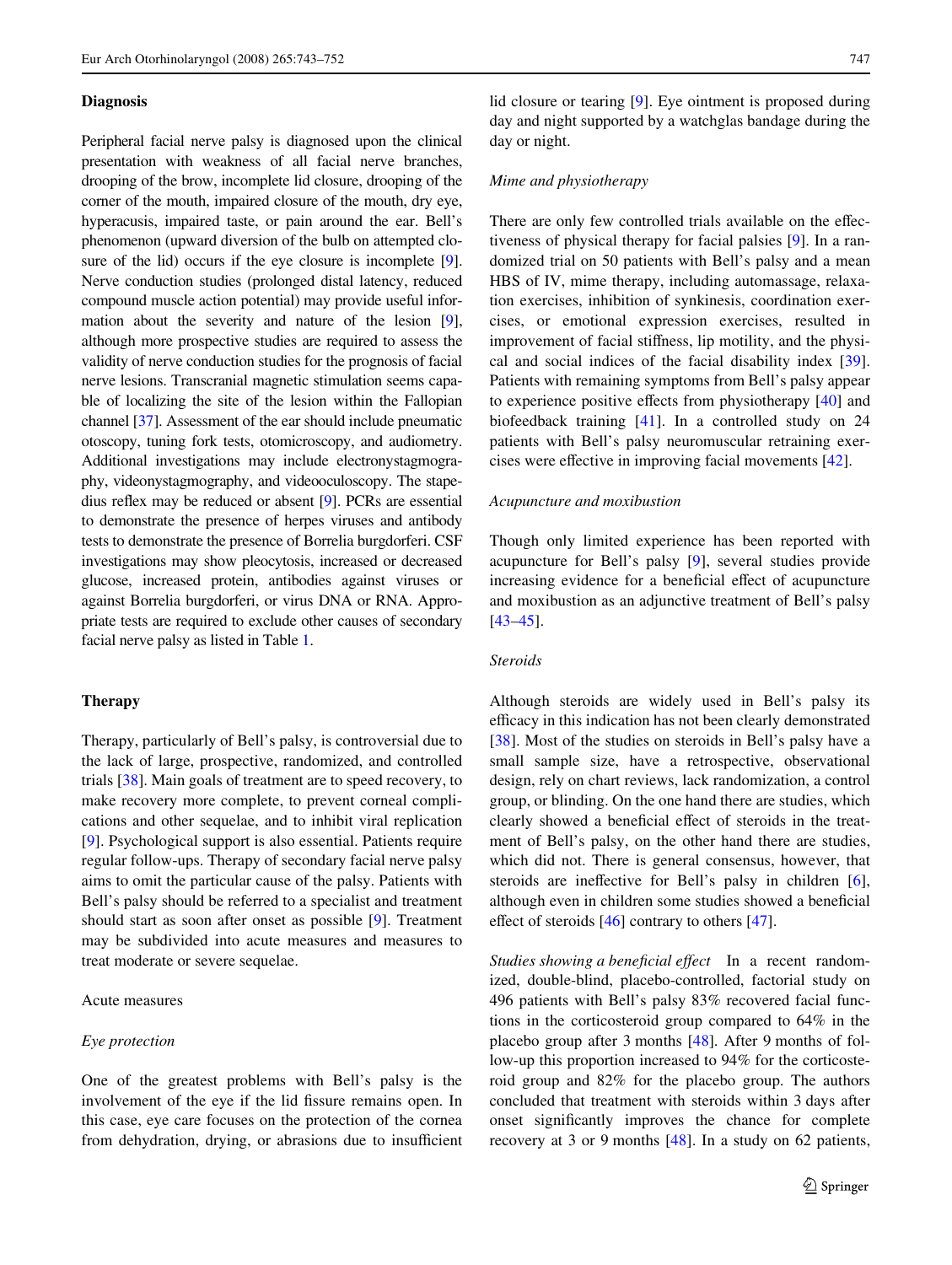## **Diagnosis**

Peripheral facial nerve palsy is diagnosed upon the clinical presentation with weakness of all facial nerve branches, drooping of the brow, incomplete lid closure, drooping of the corner of the mouth, impaired closure of the mouth, dry eye, hyperacusis, impaired taste, or pain around the ear. Bell's phenomenon (upward diversion of the bulb on attempted clo-sure of the lid) occurs if the eye closure is incomplete [[9\]](#page-7-8). Nerve conduction studies (prolonged distal latency, reduced compound muscle action potential) may provide useful information about the severity and nature of the lesion [[9\]](#page-7-8), although more prospective studies are required to assess the validity of nerve conduction studies for the prognosis of facial nerve lesions. Transcranial magnetic stimulation seems capable of localizing the site of the lesion within the Fallopian channel [\[37](#page-8-11)]. Assessment of the ear should include pneumatic otoscopy, tuning fork tests, otomicroscopy, and audiometry. Additional investigations may include electronystagmography, videonystagmography, and videooculoscopy. The stapedius reflex may be reduced or absent  $[9]$  $[9]$ . PCRs are essential to demonstrate the presence of herpes viruses and antibody tests to demonstrate the presence of Borrelia burgdorferi. CSF investigations may show pleocytosis, increased or decreased glucose, increased protein, antibodies against viruses or against Borrelia burgdorferi, or virus DNA or RNA. Appropriate tests are required to exclude other causes of secondary facial nerve palsy as listed in Table [1.](#page-1-0)

# **Therapy**

Therapy, particularly of Bell's palsy, is controversial due to the lack of large, prospective, randomized, and controlled trials [[38\]](#page-8-12). Main goals of treatment are to speed recovery, to make recovery more complete, to prevent corneal complications and other sequelae, and to inhibit viral replication [\[9](#page-7-8)]. Psychological support is also essential. Patients require regular follow-ups. Therapy of secondary facial nerve palsy aims to omit the particular cause of the palsy. Patients with Bell's palsy should be referred to a specialist and treatment should start as soon after onset as possible [[9\]](#page-7-8). Treatment may be subdivided into acute measures and measures to treat moderate or severe sequelae.

#### Acute measures

#### *Eye protection*

One of the greatest problems with Bell's palsy is the involvement of the eye if the lid fissure remains open. In this case, eye care focuses on the protection of the cornea from dehydration, drying, or abrasions due to insufficient lid closure or tearing [\[9](#page-7-8)]. Eye ointment is proposed during day and night supported by a watchglas bandage during the day or night.

# *Mime and physiotherapy*

There are only few controlled trials available on the effectiveness of physical therapy for facial palsies [\[9\]](#page-7-8). In a randomized trial on 50 patients with Bell's palsy and a mean HBS of IV, mime therapy, including automassage, relaxation exercises, inhibition of synkinesis, coordination exercises, or emotional expression exercises, resulted in improvement of facial stiffness, lip motility, and the physical and social indices of the facial disability index [\[39](#page-8-13)]. Patients with remaining symptoms from Bell's palsy appear to experience positive effects from physiotherapy  $[40]$  $[40]$  and biofeedback training [\[41](#page-8-15)]. In a controlled study on 24 patients with Bell's palsy neuromuscular retraining exercises were effective in improving facial movements  $[42]$  $[42]$ .

#### *Acupuncture and moxibustion*

Though only limited experience has been reported with acupuncture for Bell's palsy [\[9](#page-7-8)], several studies provide increasing evidence for a beneficial effect of acupuncture and moxibustion as an adjunctive treatment of Bell's palsy [\[43](#page-8-17)[–45](#page-8-18)].

## *Steroids*

Although steroids are widely used in Bell's palsy its efficacy in this indication has not been clearly demonstrated [\[38](#page-8-12)]. Most of the studies on steroids in Bell's palsy have a small sample size, have a retrospective, observational design, rely on chart reviews, lack randomization, a control group, or blinding. On the one hand there are studies, which clearly showed a beneficial effect of steroids in the treatment of Bell's palsy, on the other hand there are studies, which did not. There is general consensus, however, that steroids are ineffective for Bell's palsy in children [\[6](#page-7-5)], although even in children some studies showed a beneficial effect of steroids  $[46]$  $[46]$  contrary to others  $[47]$  $[47]$ .

*Studies showing a beneficial effect* In a recent randomized, double-blind, placebo-controlled, factorial study on 496 patients with Bell's palsy 83% recovered facial functions in the corticosteroid group compared to 64% in the placebo group after 3 months [\[48](#page-8-21)]. After 9 months of follow-up this proportion increased to 94% for the corticosteroid group and 82% for the placebo group. The authors concluded that treatment with steroids within 3 days after onset significantly improves the chance for complete recovery at 3 or 9 months [\[48](#page-8-21)]. In a study on 62 patients,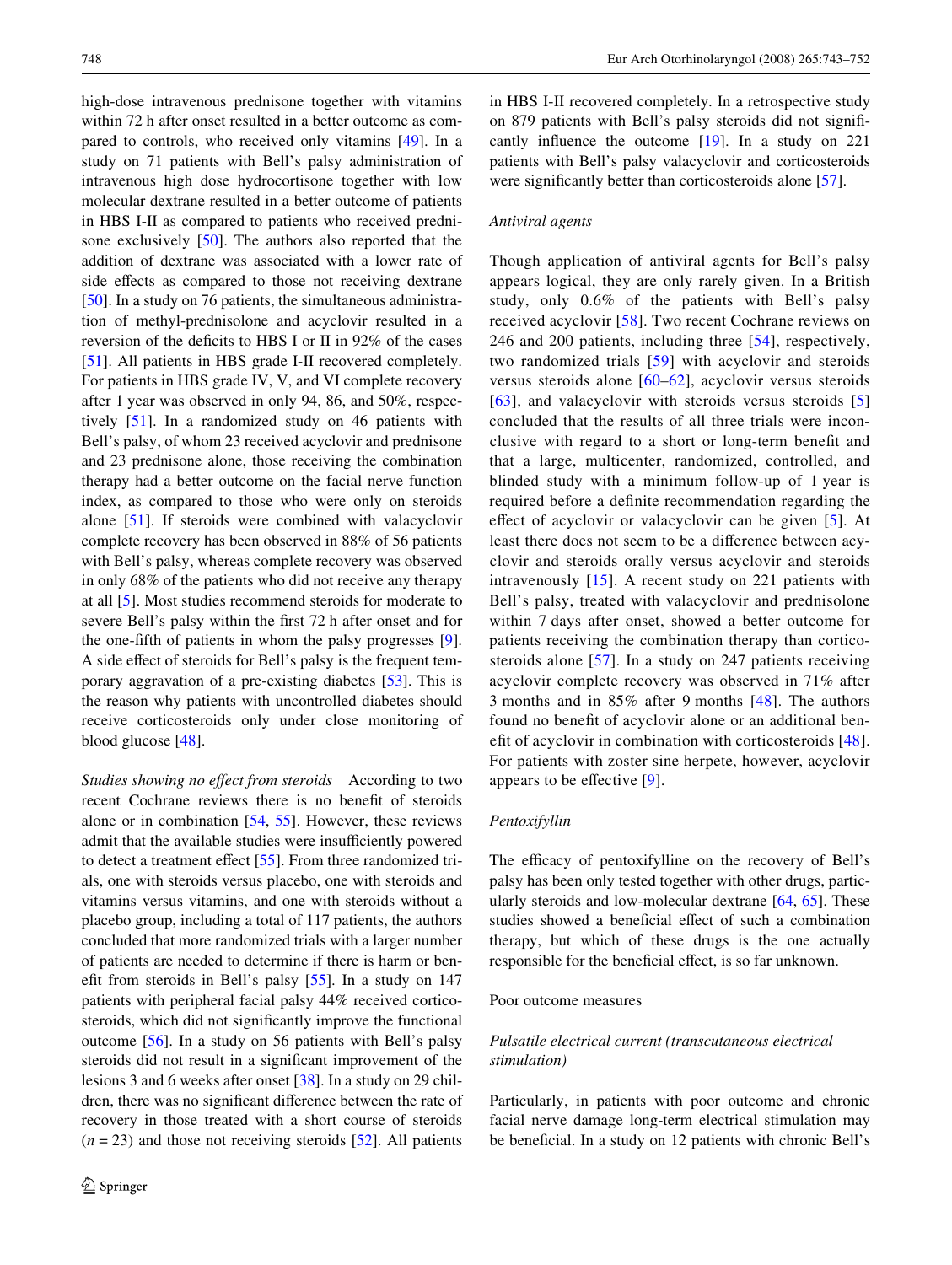high-dose intravenous prednisone together with vitamins within 72 h after onset resulted in a better outcome as compared to controls, who received only vitamins [\[49](#page-8-22)]. In a study on 71 patients with Bell's palsy administration of intravenous high dose hydrocortisone together with low molecular dextrane resulted in a better outcome of patients in HBS I-II as compared to patients who received prednisone exclusively [[50\]](#page-8-23). The authors also reported that the addition of dextrane was associated with a lower rate of side effects as compared to those not receiving dextrane [\[50](#page-8-23)]. In a study on 76 patients, the simultaneous administration of methyl-prednisolone and acyclovir resulted in a reversion of the deficits to HBS I or II in  $92\%$  of the cases [\[51](#page-8-24)]. All patients in HBS grade I-II recovered completely. For patients in HBS grade IV, V, and VI complete recovery after 1 year was observed in only 94, 86, and 50%, respectively [\[51](#page-8-24)]. In a randomized study on 46 patients with Bell's palsy, of whom 23 received acyclovir and prednisone and 23 prednisone alone, those receiving the combination therapy had a better outcome on the facial nerve function index, as compared to those who were only on steroids alone [[51\]](#page-8-24). If steroids were combined with valacyclovir complete recovery has been observed in 88% of 56 patients with Bell's palsy, whereas complete recovery was observed in only 68% of the patients who did not receive any therapy at all [[5\]](#page-7-4). Most studies recommend steroids for moderate to severe Bell's palsy within the first 72 h after onset and for the one-fifth of patients in whom the palsy progresses  $[9]$  $[9]$ . A side effect of steroids for Bell's palsy is the frequent temporary aggravation of a pre-existing diabetes [[53\]](#page-8-25). This is the reason why patients with uncontrolled diabetes should receive corticosteroids only under close monitoring of blood glucose [[48\]](#page-8-21).

*Studies showing no effect from steroids* According to two recent Cochrane reviews there is no benefit of steroids alone or in combination [\[54](#page-8-26), [55](#page-8-27)]. However, these reviews admit that the available studies were insufficiently powered to detect a treatment effect  $[55]$  $[55]$ . From three randomized trials, one with steroids versus placebo, one with steroids and vitamins versus vitamins, and one with steroids without a placebo group, including a total of 117 patients, the authors concluded that more randomized trials with a larger number of patients are needed to determine if there is harm or benefit from steroids in Bell's palsy  $[55]$  $[55]$ . In a study on 147 patients with peripheral facial palsy 44% received corticosteroids, which did not significantly improve the functional outcome [\[56](#page-8-28)]. In a study on 56 patients with Bell's palsy steroids did not result in a significant improvement of the lesions 3 and 6 weeks after onset [[38](#page-8-12)]. In a study on 29 children, there was no significant difference between the rate of recovery in those treated with a short course of steroids  $(n = 23)$  and those not receiving steroids [\[52\]](#page-8-0). All patients in HBS I-II recovered completely. In a retrospective study on 879 patients with Bell's palsy steroids did not significantly influence the outcome  $[19]$  $[19]$ . In a study on 221 patients with Bell's palsy valacyclovir and corticosteroids were significantly better than corticosteroids alone [[57\]](#page-8-29).

## *Antiviral agents*

Though application of antiviral agents for Bell's palsy appears logical, they are only rarely given. In a British study, only 0.6% of the patients with Bell's palsy received acyclovir [[58\]](#page-8-30). Two recent Cochrane reviews on 246 and 200 patients, including three [\[54\]](#page-8-26), respectively, two randomized trials [\[59\]](#page-8-31) with acyclovir and steroids versus steroids alone [[60](#page-8-32)[–62\]](#page-8-33), acyclovir versus steroids [[63\]](#page-8-34), and valacyclovir with steroids versus steroids [[5\]](#page-7-4) concluded that the results of all three trials were inconclusive with regard to a short or long-term benefit and that a large, multicenter, randomized, controlled, and blinded study with a minimum follow-up of 1 year is required before a definite recommendation regarding the effect of acyclovir or valacyclovir can be given [[5\]](#page-7-4). At least there does not seem to be a difference between acyclovir and steroids orally versus acyclovir and steroids intravenously [[15](#page-7-15)]. A recent study on 221 patients with Bell's palsy, treated with valacyclovir and prednisolone within 7 days after onset, showed a better outcome for patients receiving the combination therapy than corticosteroids alone [[57\]](#page-8-29). In a study on 247 patients receiving acyclovir complete recovery was observed in 71% after 3 months and in 85% after 9 months [[48\]](#page-8-21). The authors found no benefit of acyclovir alone or an additional ben-efit of acyclovir in combination with corticosteroids [[48](#page-8-21)]. For patients with zoster sine herpete, however, acyclovir appears to be effective  $[9]$  $[9]$ .

#### *Pentoxifyllin*

The efficacy of pentoxifylline on the recovery of Bell's palsy has been only tested together with other drugs, particularly steroids and low-molecular dextrane [\[64](#page-9-13), [65\]](#page-9-14). These studies showed a beneficial effect of such a combination therapy, but which of these drugs is the one actually responsible for the beneficial effect, is so far unknown.

# Poor outcome measures

# *Pulsatile electrical current (transcutaneous electrical stimulation)*

Particularly, in patients with poor outcome and chronic facial nerve damage long-term electrical stimulation may be beneficial. In a study on 12 patients with chronic Bell's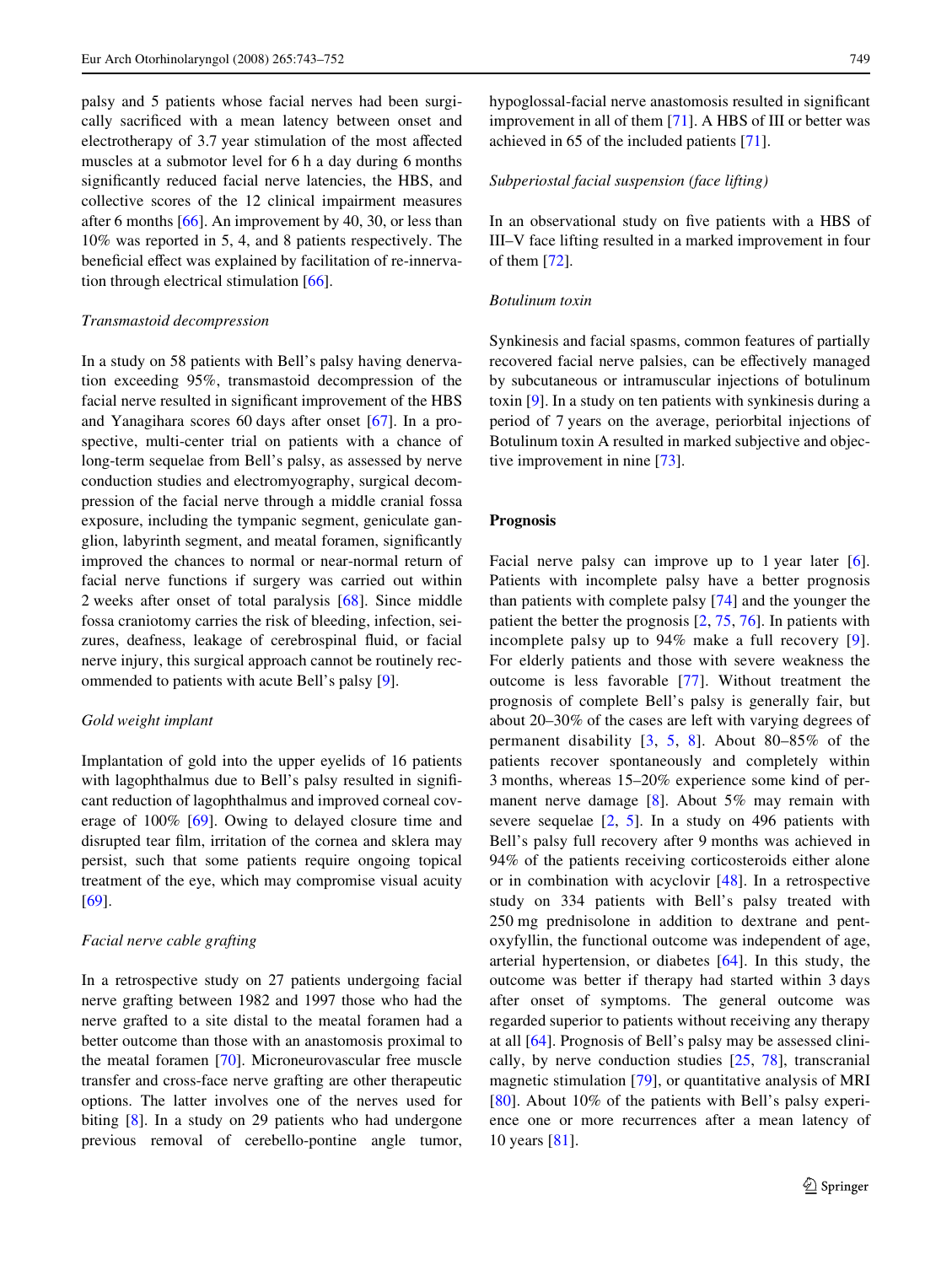palsy and 5 patients whose facial nerves had been surgically sacrificed with a mean latency between onset and electrotherapy of 3.7 year stimulation of the most affected muscles at a submotor level for 6 h a day during 6 months significantly reduced facial nerve latencies, the HBS, and collective scores of the 12 clinical impairment measures after 6 months [\[66](#page-9-15)]. An improvement by 40, 30, or less than 10% was reported in 5, 4, and 8 patients respectively. The beneficial effect was explained by facilitation of re-innervation through electrical stimulation [[66\]](#page-9-15).

## *Transmastoid decompression*

In a study on 58 patients with Bell's palsy having denervation exceeding 95%, transmastoid decompression of the facial nerve resulted in significant improvement of the HBS and Yanagihara scores 60 days after onset [[67\]](#page-9-16). In a prospective, multi-center trial on patients with a chance of long-term sequelae from Bell's palsy, as assessed by nerve conduction studies and electromyography, surgical decompression of the facial nerve through a middle cranial fossa exposure, including the tympanic segment, geniculate ganglion, labyrinth segment, and meatal foramen, significantly improved the chances to normal or near-normal return of facial nerve functions if surgery was carried out within 2 weeks after onset of total paralysis [\[68\]](#page-9-17). Since middle fossa craniotomy carries the risk of bleeding, infection, seizures, deafness, leakage of cerebrospinal fluid, or facial nerve injury, this surgical approach cannot be routinely recommended to patients with acute Bell's palsy [[9\]](#page-7-8).

## *Gold weight implant*

Implantation of gold into the upper eyelids of 16 patients with lagophthalmus due to Bell's palsy resulted in significant reduction of lagophthalmus and improved corneal coverage of 100% [\[69](#page-9-18)]. Owing to delayed closure time and disrupted tear film, irritation of the cornea and sklera may persist, such that some patients require ongoing topical treatment of the eye, which may compromise visual acuity [\[69](#page-9-18)].

# *Facial nerve cable grafting*

In a retrospective study on 27 patients undergoing facial nerve grafting between 1982 and 1997 those who had the nerve grafted to a site distal to the meatal foramen had a better outcome than those with an anastomosis proximal to the meatal foramen [[70\]](#page-9-19). Microneurovascular free muscle transfer and cross-face nerve grafting are other therapeutic options. The latter involves one of the nerves used for biting [[8\]](#page-7-9). In a study on 29 patients who had undergone previous removal of cerebello-pontine angle tumor, hypoglossal-facial nerve anastomosis resulted in significant improvement in all of them [[71\]](#page-9-5). A HBS of III or better was achieved in 65 of the included patients [\[71](#page-9-5)].

# *Subperiostal facial suspension (face lifting)*

In an observational study on five patients with a HBS of III–V face lifting resulted in a marked improvement in four of them [[72\]](#page-9-20).

## *Botulinum toxin*

Synkinesis and facial spasms, common features of partially recovered facial nerve palsies, can be effectively managed by subcutaneous or intramuscular injections of botulinum toxin [\[9](#page-7-8)]. In a study on ten patients with synkinesis during a period of 7 years on the average, periorbital injections of Botulinum toxin A resulted in marked subjective and objective improvement in nine [[73\]](#page-9-21).

# **Prognosis**

Facial nerve palsy can improve up to 1 year later [\[6](#page-7-5)]. Patients with incomplete palsy have a better prognosis than patients with complete palsy [[74](#page-9-22)] and the younger the patient the better the prognosis [\[2](#page-7-2), [75,](#page-9-23) [76\]](#page-9-24). In patients with incomplete palsy up to 94% make a full recovery [[9](#page-7-8)]. For elderly patients and those with severe weakness the outcome is less favorable [\[77\]](#page-9-25). Without treatment the prognosis of complete Bell's palsy is generally fair, but about 20–30% of the cases are left with varying degrees of permanent disability [[3](#page-7-1), [5](#page-7-4), [8](#page-7-9)]. About 80–85% of the patients recover spontaneously and completely within 3 months, whereas 15–20% experience some kind of permanent nerve damage [[8\]](#page-7-9). About 5% may remain with severe sequelae [\[2](#page-7-2), [5\]](#page-7-4). In a study on 496 patients with Bell's palsy full recovery after 9 months was achieved in 94% of the patients receiving corticosteroids either alone or in combination with acyclovir [\[48\]](#page-8-21). In a retrospective study on 334 patients with Bell's palsy treated with 250 mg prednisolone in addition to dextrane and pentoxyfyllin, the functional outcome was independent of age, arterial hypertension, or diabetes [[64\]](#page-9-13). In this study, the outcome was better if therapy had started within 3 days after onset of symptoms. The general outcome was regarded superior to patients without receiving any therapy at all [[64\]](#page-9-13). Prognosis of Bell's palsy may be assessed clinically, by nerve conduction studies [\[25,](#page-7-24) [78\]](#page-9-26), transcranial magnetic stimulation [[79\]](#page-9-27), or quantitative analysis of MRI [[80\]](#page-9-28). About 10% of the patients with Bell's palsy experience one or more recurrences after a mean latency of 10 years [[81](#page-9-29)].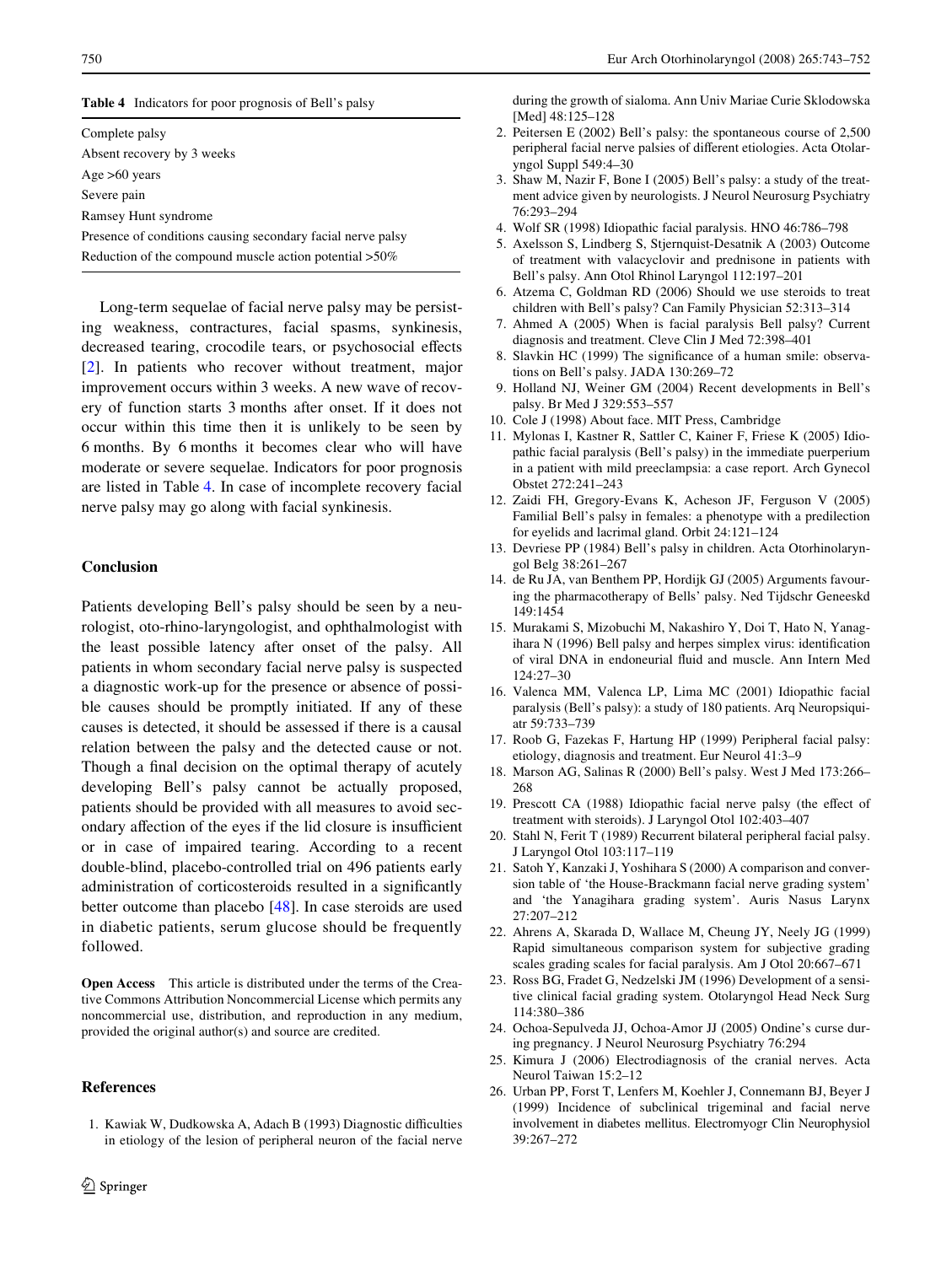<span id="page-7-26"></span>**Table 4** Indicators for poor prognosis of Bell's palsy

Complete palsy Absent recovery by 3 weeks Age >60 years Severe pain Ramsey Hunt syndrome Presence of conditions causing secondary facial nerve palsy Reduction of the compound muscle action potential >50%

Long-term sequelae of facial nerve palsy may be persisting weakness, contractures, facial spasms, synkinesis, decreased tearing, crocodile tears, or psychosocial effects [\[2](#page-7-2)]. In patients who recover without treatment, major improvement occurs within 3 weeks. A new wave of recovery of function starts 3 months after onset. If it does not occur within this time then it is unlikely to be seen by 6 months. By 6 months it becomes clear who will have moderate or severe sequelae. Indicators for poor prognosis are listed in Table [4](#page-7-26). In case of incomplete recovery facial nerve palsy may go along with facial synkinesis.

## **Conclusion**

Patients developing Bell's palsy should be seen by a neurologist, oto-rhino-laryngologist, and ophthalmologist with the least possible latency after onset of the palsy. All patients in whom secondary facial nerve palsy is suspected a diagnostic work-up for the presence or absence of possible causes should be promptly initiated. If any of these causes is detected, it should be assessed if there is a causal relation between the palsy and the detected cause or not. Though a final decision on the optimal therapy of acutely developing Bell's palsy cannot be actually proposed, patients should be provided with all measures to avoid secondary affection of the eyes if the lid closure is insufficient or in case of impaired tearing. According to a recent double-blind, placebo-controlled trial on 496 patients early administration of corticosteroids resulted in a significantly better outcome than placebo [[48\]](#page-8-21). In case steroids are used in diabetic patients, serum glucose should be frequently followed.

**Open Access** This article is distributed under the terms of the Creative Commons Attribution Noncommercial License which permits any noncommercial use, distribution, and reproduction in any medium, provided the original author(s) and source are credited.

## **References**

<span id="page-7-0"></span>1. Kawiak W, Dudkowska A, Adach B (1993) Diagnostic difficulties in etiology of the lesion of peripheral neuron of the facial nerve during the growth of sialoma. Ann Univ Mariae Curie Sklodowska [Med] 48:125-128

- <span id="page-7-2"></span>2. Peitersen E (2002) Bell's palsy: the spontaneous course of 2,500 peripheral facial nerve palsies of different etiologies. Acta Otolaryngol Suppl 549:4–30
- <span id="page-7-1"></span>3. Shaw M, Nazir F, Bone I (2005) Bell's palsy: a study of the treatment advice given by neurologists. J Neurol Neurosurg Psychiatry 76:293–294
- <span id="page-7-3"></span>4. Wolf SR (1998) Idiopathic facial paralysis. HNO 46:786–798
- <span id="page-7-4"></span>5. Axelsson S, Lindberg S, Stjernquist-Desatnik A (2003) Outcome of treatment with valacyclovir and prednisone in patients with Bell's palsy. Ann Otol Rhinol Laryngol 112:197–201
- <span id="page-7-5"></span>6. Atzema C, Goldman RD (2006) Should we use steroids to treat children with Bell's palsy? Can Family Physician 52:313–314
- <span id="page-7-10"></span>7. Ahmed A (2005) When is facial paralysis Bell palsy? Current diagnosis and treatment. Cleve Clin J Med 72:398–401
- <span id="page-7-9"></span>8. Slavkin HC (1999) The significance of a human smile: observations on Bell's palsy. JADA 130:269–72
- <span id="page-7-8"></span>9. Holland NJ, Weiner GM (2004) Recent developments in Bell's palsy. Br Med J 329:553–557
- <span id="page-7-11"></span>10. Cole J (1998) About face. MIT Press, Cambridge
- <span id="page-7-7"></span>11. Mylonas I, Kastner R, Sattler C, Kainer F, Friese K (2005) Idiopathic facial paralysis (Bell's palsy) in the immediate puerperium in a patient with mild preeclampsia: a case report. Arch Gynecol Obstet 272:241–243
- <span id="page-7-12"></span>12. Zaidi FH, Gregory-Evans K, Acheson JF, Ferguson V (2005) Familial Bell's palsy in females: a phenotype with a predilection for eyelids and lacrimal gland. Orbit 24:121–124
- <span id="page-7-13"></span>13. Devriese PP (1984) Bell's palsy in children. Acta Otorhinolaryngol Belg 38:261–267
- <span id="page-7-14"></span>14. de Ru JA, van Benthem PP, Hordijk GJ (2005) Arguments favouring the pharmacotherapy of Bells' palsy. Ned Tijdschr Geneeskd 149:1454
- <span id="page-7-15"></span>15. Murakami S, Mizobuchi M, Nakashiro Y, Doi T, Hato N, Yanagihara N (1996) Bell palsy and herpes simplex virus: identification of viral DNA in endoneurial fluid and muscle. Ann Intern Med 124:27–30
- <span id="page-7-6"></span>16. Valenca MM, Valenca LP, Lima MC (2001) Idiopathic facial paralysis (Bell's palsy): a study of 180 patients. Arq Neuropsiquiatr 59:733–739
- <span id="page-7-16"></span>17. Roob G, Fazekas F, Hartung HP (1999) Peripheral facial palsy: etiology, diagnosis and treatment. Eur Neurol 41:3–9
- <span id="page-7-17"></span>18. Marson AG, Salinas R (2000) Bell's palsy. West J Med 173:266– 268
- <span id="page-7-18"></span>19. Prescott CA (1988) Idiopathic facial nerve palsy (the effect of treatment with steroids). J Laryngol Otol 102:403–407
- <span id="page-7-19"></span>20. Stahl N, Ferit T (1989) Recurrent bilateral peripheral facial palsy. J Laryngol Otol 103:117–119
- <span id="page-7-20"></span>21. Satoh Y, Kanzaki J, Yoshihara S (2000) A comparison and conversion table of 'the House-Brackmann facial nerve grading system' and 'the Yanagihara grading system'. Auris Nasus Larynx 27:207–212
- <span id="page-7-21"></span>22. Ahrens A, Skarada D, Wallace M, Cheung JY, Neely JG (1999) Rapid simultaneous comparison system for subjective grading scales grading scales for facial paralysis. Am J Otol 20:667–671
- <span id="page-7-22"></span>23. Ross BG, Fradet G, Nedzelski JM (1996) Development of a sensitive clinical facial grading system. Otolaryngol Head Neck Surg 114:380–386
- <span id="page-7-23"></span>24. Ochoa-Sepulveda JJ, Ochoa-Amor JJ (2005) Ondine's curse during pregnancy. J Neurol Neurosurg Psychiatry 76:294
- <span id="page-7-24"></span>25. Kimura J (2006) Electrodiagnosis of the cranial nerves. Acta Neurol Taiwan 15:2–12
- <span id="page-7-25"></span>26. Urban PP, Forst T, Lenfers M, Koehler J, Connemann BJ, Beyer J (1999) Incidence of subclinical trigeminal and facial nerve involvement in diabetes mellitus. Electromyogr Clin Neurophysiol 39:267–272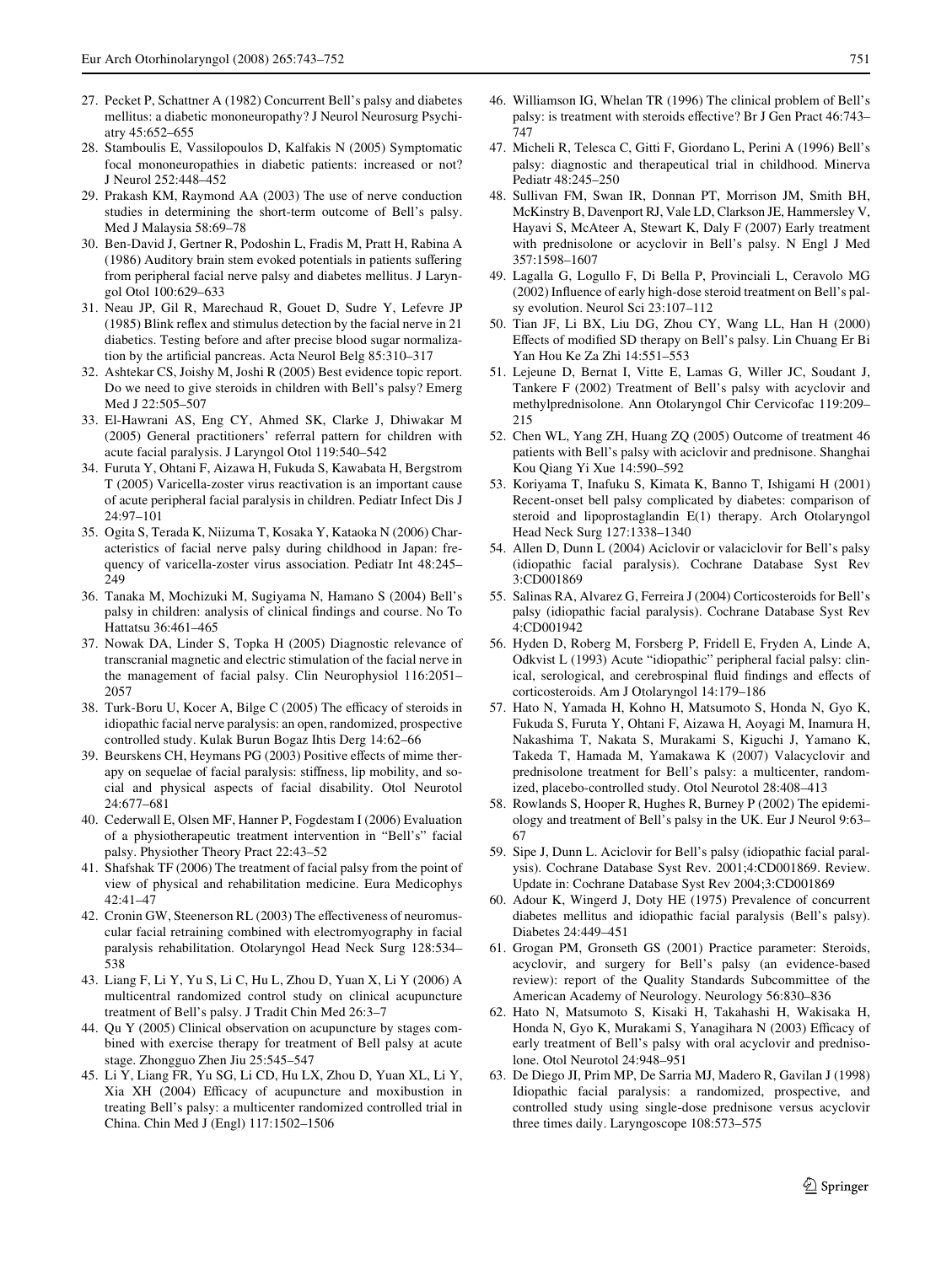- <span id="page-8-1"></span>27. Pecket P, Schattner A (1982) Concurrent Bell's palsy and diabetes mellitus: a diabetic mononeuropathy? J Neurol Neurosurg Psychiatry 45:652–655
- <span id="page-8-2"></span>28. Stamboulis E, Vassilopoulos D, Kalfakis N (2005) Symptomatic focal mononeuropathies in diabetic patients: increased or not? J Neurol 252:448–452
- <span id="page-8-3"></span>29. Prakash KM, Raymond AA (2003) The use of nerve conduction studies in determining the short-term outcome of Bell's palsy. Med J Malaysia 58:69–78
- <span id="page-8-4"></span>30. Ben-David J, Gertner R, Podoshin L, Fradis M, Pratt H, Rabina A (1986) Auditory brain stem evoked potentials in patients suffering from peripheral facial nerve palsy and diabetes mellitus. J Laryngol Otol 100:629–633
- <span id="page-8-5"></span>31. Neau JP, Gil R, Marechaud R, Gouet D, Sudre Y, Lefevre JP  $(1985)$  Blink reflex and stimulus detection by the facial nerve in 21 diabetics. Testing before and after precise blood sugar normalization by the artificial pancreas. Acta Neurol Belg 85:310-317
- <span id="page-8-6"></span>32. Ashtekar CS, Joishy M, Joshi R (2005) Best evidence topic report. Do we need to give steroids in children with Bell's palsy? Emerg Med J 22:505–507
- <span id="page-8-7"></span>33. El-Hawrani AS, Eng CY, Ahmed SK, Clarke J, Dhiwakar M (2005) General practitioners' referral pattern for children with acute facial paralysis. J Laryngol Otol 119:540–542
- <span id="page-8-8"></span>34. Furuta Y, Ohtani F, Aizawa H, Fukuda S, Kawabata H, Bergstrom T (2005) Varicella-zoster virus reactivation is an important cause of acute peripheral facial paralysis in children. Pediatr Infect Dis J 24:97–101
- <span id="page-8-9"></span>35. Ogita S, Terada K, Niizuma T, Kosaka Y, Kataoka N (2006) Characteristics of facial nerve palsy during childhood in Japan: frequency of varicella-zoster virus association. Pediatr Int 48:245– 249
- <span id="page-8-10"></span>36. Tanaka M, Mochizuki M, Sugiyama N, Hamano S (2004) Bell's palsy in children: analysis of clinical findings and course. No To Hattatsu 36:461–465
- <span id="page-8-11"></span>37. Nowak DA, Linder S, Topka H (2005) Diagnostic relevance of transcranial magnetic and electric stimulation of the facial nerve in the management of facial palsy. Clin Neurophysiol 116:2051– 2057
- <span id="page-8-12"></span>38. Turk-Boru U, Kocer A, Bilge C (2005) The efficacy of steroids in idiopathic facial nerve paralysis: an open, randomized, prospective controlled study. Kulak Burun Bogaz Ihtis Derg 14:62–66
- <span id="page-8-13"></span>39. Beurskens CH, Heymans PG (2003) Positive effects of mime therapy on sequelae of facial paralysis: stiffness, lip mobility, and social and physical aspects of facial disability. Otol Neurotol 24:677–681
- <span id="page-8-14"></span>40. Cederwall E, Olsen MF, Hanner P, Fogdestam I (2006) Evaluation of a physiotherapeutic treatment intervention in "Bell's" facial palsy. Physiother Theory Pract 22:43–52
- <span id="page-8-15"></span>41. Shafshak TF (2006) The treatment of facial palsy from the point of view of physical and rehabilitation medicine. Eura Medicophys 42:41–47
- <span id="page-8-16"></span>42. Cronin GW, Steenerson RL (2003) The effectiveness of neuromuscular facial retraining combined with electromyography in facial paralysis rehabilitation. Otolaryngol Head Neck Surg 128:534– 538
- <span id="page-8-17"></span>43. Liang F, Li Y, Yu S, Li C, Hu L, Zhou D, Yuan X, Li Y (2006) A multicentral randomized control study on clinical acupuncture treatment of Bell's palsy. J Tradit Chin Med 26:3–7
- 44. Qu Y (2005) Clinical observation on acupuncture by stages combined with exercise therapy for treatment of Bell palsy at acute stage. Zhongguo Zhen Jiu 25:545–547
- <span id="page-8-18"></span>45. Li Y, Liang FR, Yu SG, Li CD, Hu LX, Zhou D, Yuan XL, Li Y, Xia XH (2004) Efficacy of acupuncture and moxibustion in treating Bell's palsy: a multicenter randomized controlled trial in China. Chin Med J (Engl) 117:1502–1506
- <span id="page-8-19"></span>46. Williamson IG, Whelan TR (1996) The clinical problem of Bell's palsy: is treatment with steroids effective? Br J Gen Pract 46:743-747
- <span id="page-8-20"></span>47. Micheli R, Telesca C, Gitti F, Giordano L, Perini A (1996) Bell's palsy: diagnostic and therapeutical trial in childhood. Minerva Pediatr 48:245–250
- <span id="page-8-21"></span>48. Sullivan FM, Swan IR, Donnan PT, Morrison JM, Smith BH, McKinstry B, Davenport RJ, Vale LD, Clarkson JE, Hammersley V, Hayavi S, McAteer A, Stewart K, Daly F (2007) Early treatment with prednisolone or acyclovir in Bell's palsy. N Engl J Med 357:1598–1607
- <span id="page-8-22"></span>49. Lagalla G, Logullo F, Di Bella P, Provinciali L, Ceravolo MG  $(2002)$  Influence of early high-dose steroid treatment on Bell's palsy evolution. Neurol Sci 23:107–112
- <span id="page-8-23"></span>50. Tian JF, Li BX, Liu DG, Zhou CY, Wang LL, Han H (2000) Effects of modified SD therapy on Bell's palsy. Lin Chuang Er Bi Yan Hou Ke Za Zhi 14:551–553
- <span id="page-8-24"></span>51. Lejeune D, Bernat I, Vitte E, Lamas G, Willer JC, Soudant J, Tankere F (2002) Treatment of Bell's palsy with acyclovir and methylprednisolone. Ann Otolaryngol Chir Cervicofac 119:209– 215
- <span id="page-8-0"></span>52. Chen WL, Yang ZH, Huang ZQ (2005) Outcome of treatment 46 patients with Bell's palsy with aciclovir and prednisone. Shanghai Kou Qiang Yi Xue 14:590–592
- <span id="page-8-25"></span>53. Koriyama T, Inafuku S, Kimata K, Banno T, Ishigami H (2001) Recent-onset bell palsy complicated by diabetes: comparison of steroid and lipoprostaglandin E(1) therapy. Arch Otolaryngol Head Neck Surg 127:1338–1340
- <span id="page-8-26"></span>54. Allen D, Dunn L (2004) Aciclovir or valaciclovir for Bell's palsy (idiopathic facial paralysis). Cochrane Database Syst Rev 3:CD001869
- <span id="page-8-27"></span>55. Salinas RA, Alvarez G, Ferreira J (2004) Corticosteroids for Bell's palsy (idiopathic facial paralysis). Cochrane Database Syst Rev 4:CD001942
- <span id="page-8-28"></span>56. Hyden D, Roberg M, Forsberg P, Fridell E, Fryden A, Linde A, Odkvist L (1993) Acute "idiopathic" peripheral facial palsy: clinical, serological, and cerebrospinal fluid findings and effects of corticosteroids. Am J Otolaryngol 14:179–186
- <span id="page-8-29"></span>57. Hato N, Yamada H, Kohno H, Matsumoto S, Honda N, Gyo K, Fukuda S, Furuta Y, Ohtani F, Aizawa H, Aoyagi M, Inamura H, Nakashima T, Nakata S, Murakami S, Kiguchi J, Yamano K, Takeda T, Hamada M, Yamakawa K (2007) Valacyclovir and prednisolone treatment for Bell's palsy: a multicenter, randomized, placebo-controlled study. Otol Neurotol 28:408–413
- <span id="page-8-30"></span>58. Rowlands S, Hooper R, Hughes R, Burney P (2002) The epidemiology and treatment of Bell's palsy in the UK. Eur J Neurol 9:63– 67
- <span id="page-8-31"></span>59. Sipe J, Dunn L. Aciclovir for Bell's palsy (idiopathic facial paralysis). Cochrane Database Syst Rev. 2001;4:CD001869. Review. Update in: Cochrane Database Syst Rev 2004;3:CD001869
- <span id="page-8-32"></span>60. Adour K, Wingerd J, Doty HE (1975) Prevalence of concurrent diabetes mellitus and idiopathic facial paralysis (Bell's palsy). Diabetes 24:449–451
- 61. Grogan PM, Gronseth GS (2001) Practice parameter: Steroids, acyclovir, and surgery for Bell's palsy (an evidence-based review): report of the Quality Standards Subcommittee of the American Academy of Neurology. Neurology 56:830–836
- <span id="page-8-33"></span>62. Hato N, Matsumoto S, Kisaki H, Takahashi H, Wakisaka H, Honda N, Gyo K, Murakami S, Yanagihara N (2003) Efficacy of early treatment of Bell's palsy with oral acyclovir and prednisolone. Otol Neurotol 24:948–951
- <span id="page-8-34"></span>63. De Diego JI, Prim MP, De Sarria MJ, Madero R, Gavilan J (1998) Idiopathic facial paralysis: a randomized, prospective, and controlled study using single-dose prednisone versus acyclovir three times daily. Laryngoscope 108:573–575